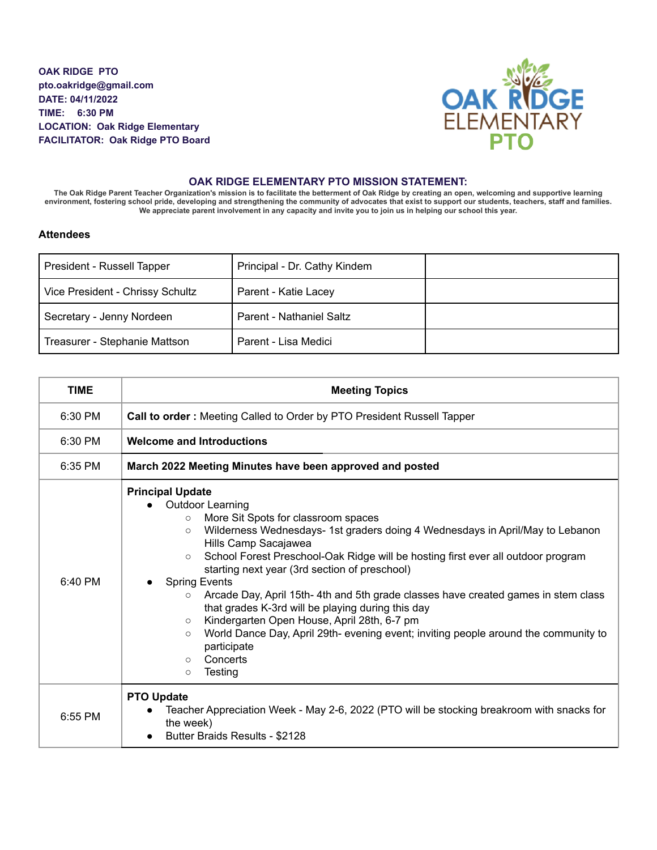**OAK RIDGE PTO pto.oakridge@gmail.com DATE: 04/11/2022 TIME: 6:30 PM LOCATION: Oak Ridge Elementary FACILITATOR: Oak Ridge PTO Board**



## **OAK RIDGE ELEMENTARY PTO MISSION STATEMENT:**

The Oak Ridge Parent Teacher Organization's mission is to facilitate the betterment of Oak Ridge by creating an open, welcoming and supportive learning environment, fostering school pride, developing and strengthening the community of advocates that exist to support our students, teachers, staff and families. We appreciate parent involvement in any capacity and invite you to join us in helping our school this year.

## **Attendees**

| President - Russell Tapper       | Principal - Dr. Cathy Kindem |  |
|----------------------------------|------------------------------|--|
| Vice President - Chrissy Schultz | Parent - Katie Lacey         |  |
| Secretary - Jenny Nordeen        | Parent - Nathaniel Saltz     |  |
| Treasurer - Stephanie Mattson    | Parent - Lisa Medici         |  |

| <b>TIME</b> | <b>Meeting Topics</b>                                                                                                                                                                                                                                                                                                                                                                                                                                                                                                                                                                                                                                                                                                                                                   |  |  |
|-------------|-------------------------------------------------------------------------------------------------------------------------------------------------------------------------------------------------------------------------------------------------------------------------------------------------------------------------------------------------------------------------------------------------------------------------------------------------------------------------------------------------------------------------------------------------------------------------------------------------------------------------------------------------------------------------------------------------------------------------------------------------------------------------|--|--|
| 6:30 PM     | Call to order: Meeting Called to Order by PTO President Russell Tapper                                                                                                                                                                                                                                                                                                                                                                                                                                                                                                                                                                                                                                                                                                  |  |  |
| 6:30 PM     | <b>Welcome and Introductions</b>                                                                                                                                                                                                                                                                                                                                                                                                                                                                                                                                                                                                                                                                                                                                        |  |  |
| $6:35$ PM   | March 2022 Meeting Minutes have been approved and posted                                                                                                                                                                                                                                                                                                                                                                                                                                                                                                                                                                                                                                                                                                                |  |  |
| $6:40$ PM   | <b>Principal Update</b><br><b>Outdoor Learning</b><br>More Sit Spots for classroom spaces<br>$\circ$<br>Wilderness Wednesdays- 1st graders doing 4 Wednesdays in April/May to Lebanon<br>$\circ$<br>Hills Camp Sacajawea<br>School Forest Preschool-Oak Ridge will be hosting first ever all outdoor program<br>$\circ$<br>starting next year (3rd section of preschool)<br><b>Spring Events</b><br>Arcade Day, April 15th-4th and 5th grade classes have created games in stem class<br>$\circ$<br>that grades K-3rd will be playing during this day<br>Kindergarten Open House, April 28th, 6-7 pm<br>$\circ$<br>World Dance Day, April 29th- evening event; inviting people around the community to<br>$\circ$<br>participate<br>Concerts<br>$\circ$<br>Testing<br>O |  |  |
| 6:55 PM     | <b>PTO Update</b><br>Teacher Appreciation Week - May 2-6, 2022 (PTO will be stocking breakroom with snacks for<br>the week)<br><b>Butter Braids Results - \$2128</b><br>$\bullet$                                                                                                                                                                                                                                                                                                                                                                                                                                                                                                                                                                                       |  |  |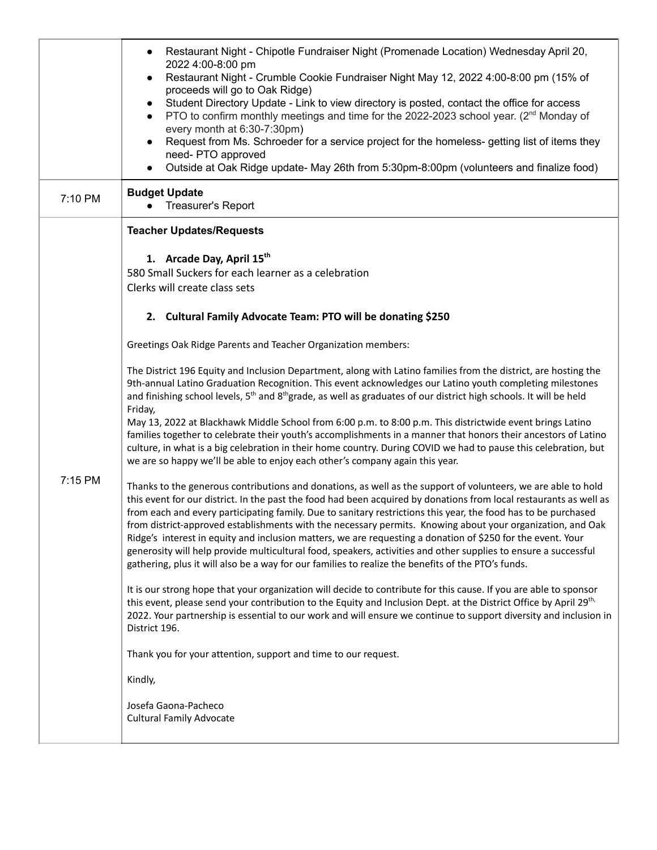|         | Restaurant Night - Chipotle Fundraiser Night (Promenade Location) Wednesday April 20,<br>2022 4:00-8:00 pm<br>Restaurant Night - Crumble Cookie Fundraiser Night May 12, 2022 4:00-8:00 pm (15% of<br>proceeds will go to Oak Ridge)<br>Student Directory Update - Link to view directory is posted, contact the office for access<br>PTO to confirm monthly meetings and time for the 2022-2023 school year. (2 <sup>nd</sup> Monday of<br>$\bullet$<br>every month at 6:30-7:30pm)<br>Request from Ms. Schroeder for a service project for the homeless- getting list of items they<br>need-PTO approved<br>Outside at Oak Ridge update- May 26th from 5:30pm-8:00pm (volunteers and finalize food)                                                                                                                                                                                                                                                                                                                                                                                                                                                                                  |
|---------|----------------------------------------------------------------------------------------------------------------------------------------------------------------------------------------------------------------------------------------------------------------------------------------------------------------------------------------------------------------------------------------------------------------------------------------------------------------------------------------------------------------------------------------------------------------------------------------------------------------------------------------------------------------------------------------------------------------------------------------------------------------------------------------------------------------------------------------------------------------------------------------------------------------------------------------------------------------------------------------------------------------------------------------------------------------------------------------------------------------------------------------------------------------------------------------|
| 7:10 PM | <b>Budget Update</b><br>Treasurer's Report<br>$\bullet$                                                                                                                                                                                                                                                                                                                                                                                                                                                                                                                                                                                                                                                                                                                                                                                                                                                                                                                                                                                                                                                                                                                                |
|         | <b>Teacher Updates/Requests</b><br>1. Arcade Day, April 15th<br>580 Small Suckers for each learner as a celebration<br>Clerks will create class sets                                                                                                                                                                                                                                                                                                                                                                                                                                                                                                                                                                                                                                                                                                                                                                                                                                                                                                                                                                                                                                   |
|         | 2. Cultural Family Advocate Team: PTO will be donating \$250<br>Greetings Oak Ridge Parents and Teacher Organization members:                                                                                                                                                                                                                                                                                                                                                                                                                                                                                                                                                                                                                                                                                                                                                                                                                                                                                                                                                                                                                                                          |
|         | The District 196 Equity and Inclusion Department, along with Latino families from the district, are hosting the<br>9th-annual Latino Graduation Recognition. This event acknowledges our Latino youth completing milestones<br>and finishing school levels, 5 <sup>th</sup> and 8 <sup>th</sup> grade, as well as graduates of our district high schools. It will be held<br>Friday,<br>May 13, 2022 at Blackhawk Middle School from 6:00 p.m. to 8:00 p.m. This districtwide event brings Latino<br>families together to celebrate their youth's accomplishments in a manner that honors their ancestors of Latino<br>culture, in what is a big celebration in their home country. During COVID we had to pause this celebration, but<br>we are so happy we'll be able to enjoy each other's company again this year.                                                                                                                                                                                                                                                                                                                                                                 |
| 7:15 PM | Thanks to the generous contributions and donations, as well as the support of volunteers, we are able to hold<br>this event for our district. In the past the food had been acquired by donations from local restaurants as well as<br>from each and every participating family. Due to sanitary restrictions this year, the food has to be purchased<br>from district-approved establishments with the necessary permits. Knowing about your organization, and Oak<br>Ridge's interest in equity and inclusion matters, we are requesting a donation of \$250 for the event. Your<br>generosity will help provide multicultural food, speakers, activities and other supplies to ensure a successful<br>gathering, plus it will also be a way for our families to realize the benefits of the PTO's funds.<br>It is our strong hope that your organization will decide to contribute for this cause. If you are able to sponsor<br>this event, please send your contribution to the Equity and Inclusion Dept. at the District Office by April 29 <sup>th,</sup><br>2022. Your partnership is essential to our work and will ensure we continue to support diversity and inclusion in |
|         | District 196.<br>Thank you for your attention, support and time to our request.                                                                                                                                                                                                                                                                                                                                                                                                                                                                                                                                                                                                                                                                                                                                                                                                                                                                                                                                                                                                                                                                                                        |
|         | Kindly,                                                                                                                                                                                                                                                                                                                                                                                                                                                                                                                                                                                                                                                                                                                                                                                                                                                                                                                                                                                                                                                                                                                                                                                |
|         | Josefa Gaona-Pacheco<br><b>Cultural Family Advocate</b>                                                                                                                                                                                                                                                                                                                                                                                                                                                                                                                                                                                                                                                                                                                                                                                                                                                                                                                                                                                                                                                                                                                                |